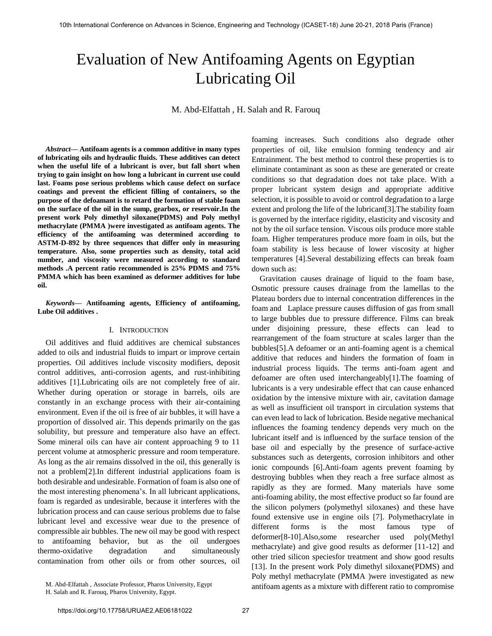# Evaluation of New Antifoaming Agents on Egyptian Lubricating Oil

M. Abd-Elfattah , H. Salah and R. Farouq

*Abstract***— Antifoam agents is a common additive in many types of lubricating oils and hydraulic fluids. These additives can detect when the useful life of a lubricant is over, but fall short when trying to gain insight on how long a lubricant in current use could last. Foams pose serious problems which cause defect on surface coatings and prevent the efficient filling of containers, so the purpose of the defoamant is to retard the formation of stable foam on the surface of the oil in the sump, gearbox, or reservoir.In the present work Poly dimethyl siloxane(PDMS) and Poly methyl methacrylate (PMMA )were investigated as antifoam agents. The efficiency of the antifoaming was determined according to ASTM-D-892 by three sequences that differ only in measuring temperature. Also, some properties such as density, total acid number, and viscosity were measured according to standard methods .A percent ratio recommended is 25% PDMS and 75% PMMA which has been examined as deformer additives for lube oil.** 

*Keywords***— Antifoaming agents, Efficiency of antifoaming, Lube Oil additives .** 

#### I. INTRODUCTION

Oil additives and fluid additives are chemical substances added to oils and industrial fluids to impart or improve certain properties. Oil additives include viscosity modifiers, deposit control additives, anti-corrosion agents, and rust-inhibiting additives [1].Lubricating oils are not completely free of air. Whether during operation or storage in barrels, oils are constantly in an exchange process with their air-containing environment. Even if the oil is free of air bubbles, it will have a proportion of dissolved air. This depends primarily on the gas solubility, but pressure and temperature also have an effect. Some mineral oils can have air content approaching 9 to 11 percent volume at atmospheric pressure and room temperature. As long as the air remains dissolved in the oil, this generally is not a problem[2].In different industrial applications foam is both desirable and undesirable. Formation of foam is also one of the most interesting phenomena's. In all lubricant applications, foam is regarded as undesirable, because it interferes with the lubrication process and can cause serious problems due to false lubricant level and excessive wear due to the presence of compressible air bubbles. The new oil may be good with respect to antifoaming behavior, but as the oil undergoes thermo-oxidative degradation and simultaneously contamination from other oils or from other sources, oil

foaming increases. Such conditions also degrade other properties of oil, like emulsion forming tendency and air Entrainment. The best method to control these properties is to eliminate contaminant as soon as these are generated or create conditions so that degradation does not take place. With a proper lubricant system design and appropriate additive selection, it is possible to avoid or control degradation to a large extent and prolong the life of the lubricant[3].The stability foam is governed by the interface rigidity, elasticity and viscosity and not by the oil surface tension. Viscous oils produce more stable foam. Higher temperatures produce more foam in oils, but the foam stability is less because of lower viscosity at higher temperatures [4].Several destabilizing effects can break foam down such as:

Gravitation causes drainage of liquid to the foam base, Osmotic pressure causes drainage from the lamellas to the Plateau borders due to internal concentration differences in the foam and Laplace pressure causes diffusion of gas from small to large bubbles due to pressure difference. Films can break under disjoining pressure, these effects can lead to rearrangement of the foam structure at scales larger than the bubbles[5].A defoamer or an anti-foaming agent is a chemical additive that reduces and hinders the formation of foam in industrial process liquids. The terms anti-foam agent and defoamer are often used interchangeably[1].The foaming of lubricants is a very undesirable effect that can cause enhanced oxidation by the intensive mixture with air, cavitation damage as well as insufficient oil transport in circulation systems that can even lead to lack of lubrication. Beside negative mechanical influences the foaming tendency depends very much on the lubricant itself and is influenced by the surface tension of the base oil and especially by the presence of surface-active substances such as detergents, corrosion inhibitors and other ionic compounds [6].Anti-foam agents prevent foaming by destroying bubbles when they reach a free surface almost as rapidly as they are formed. Many materials have some anti-foaming ability, the most effective product so far found are the silicon polymers (polymethyl siloxanes) and these have found extensive use in engine oils [7]. Polymethacrylate in different forms is the most famous type of deformer[8-10].Also,some researcher used poly(Methyl methacrylate) and give good results as deformer [11-12] and other tried silicon speciesfor treatment and show good results [13]. In the present work Poly dimethyl siloxane(PDMS) and Poly methyl methacrylate (PMMA )were investigated as new antifoam agents as a mixture with different ratio to compromise

M. Abd-Elfattah , Associate Professor, Pharos University, Egypt

H. Salah and R. Farouq, Pharos University, Egypt.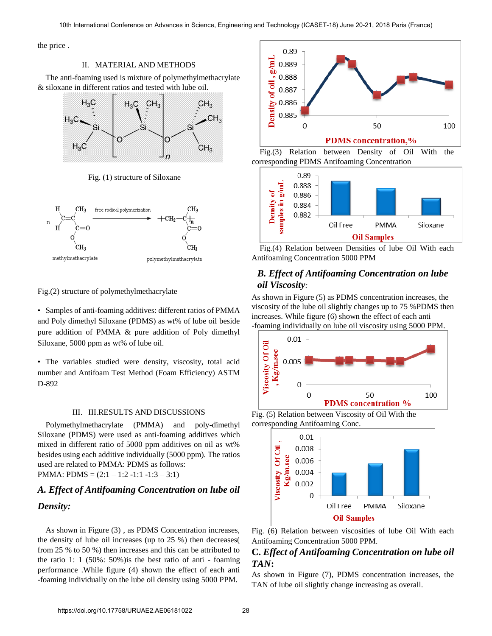the price .

## II. MATERIAL AND METHODS

The anti-foaming used is mixture of polymethylmethacrylate & siloxane in different ratios and tested with lube oil.



Fig. (1) structure of Siloxane



Fig.(2) structure of polymethylmethacrylate

• Samples of anti-foaming additives: different ratios of PMMA and Poly dimethyl Siloxane (PDMS) as wt% of lube oil beside pure addition of PMMA & pure addition of Poly dimethyl Siloxane, 5000 ppm as wt% of lube oil.

• The variables studied were density, viscosity, total acid number and Antifoam Test Method (Foam Efficiency) ASTM D-892

#### III. III.RESULTS AND DISCUSSIONS

Polymethylmethacrylate (PMMA) and poly-dimethyl Siloxane (PDMS) were used as anti-foaming additives which mixed in different ratio of 5000 ppm additives on oil as wt% besides using each additive individually (5000 ppm). The ratios used are related to PMMA: PDMS as follows: PMMA: PDMS =  $(2:1 - 1:2 - 1:1 - 1:3 - 3:1)$ 

## *A. Effect of Antifoaming Concentration on lube oil Density:*

As shown in Figure (3) , as PDMS Concentration increases, the density of lube oil increases (up to 25 %) then decreases( from 25 % to 50 %) then increases and this can be attributed to the ratio 1: 1 (50%: 50%)is the best ratio of anti - foaming performance .While figure (4) shown the effect of each anti -foaming individually on the lube oil density using 5000 PPM.









## *B. Effect of Antifoaming Concentration on lube oil Viscosity:*

As shown in Figure (5) as PDMS concentration increases, the viscosity of the lube oil slightly changes up to 75 %PDMS then increases. While figure (6) shown the effect of each anti -foaming individually on lube oil viscosity using 5000 PPM.



Fig. (5) Relation between Viscosity of Oil With the corresponding Antifoaming Conc.



Fig. (6) Relation between viscosities of lube Oil With each Antifoaming Concentration 5000 PPM.

## **C.** *Effect of Antifoaming Concentration on lube oil TAN***:**

As shown in Figure (7), PDMS concentration increases, the TAN of lube oil slightly change increasing as overall.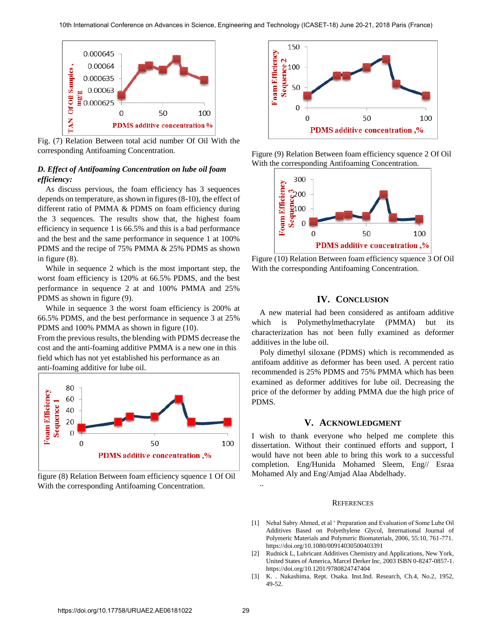

Fig. (7) Relation Between total acid number Of Oil With the corresponding Antifoaming Concentration.

## *D. Effect of Antifoaming Concentration on lube oil foam efficiency:*

As discuss pervious, the foam efficiency has 3 sequences depends on temperature, as shown in figures (8-10), the effect of different ratio of PMMA & PDMS on foam efficiency during the 3 sequences. The results show that, the highest foam efficiency in sequence 1 is 66.5% and this is a bad performance and the best and the same performance in sequence 1 at 100% PDMS and the recipe of 75% PMMA & 25% PDMS as shown in figure (8).

While in sequence 2 which is the most important step, the worst foam efficiency is 120% at 66.5% PDMS, and the best performance in sequence 2 at and 100% PMMA and 25% PDMS as shown in figure (9).

While in sequence 3 the worst foam efficiency is 200% at 66.5% PDMS, and the best performance in sequence 3 at 25% PDMS and 100% PMMA as shown in figure (10).

From the previous results, the blending with PDMS decrease the cost and the anti-foaming additive PMMA is a new one in this field which has not yet established his performance as an anti-foaming additive for lube oil.



figure (8) Relation Between foam efficiency squence 1 Of Oil With the corresponding Antifoaming Concentration.



Figure (9) Relation Between foam efficiency squence 2 Of Oil With the corresponding Antifoaming Concentration.



Figure (10) Relation Between foam efficiency squence 3 Of Oil With the corresponding Antifoaming Concentration.

## **IV. CONCLUSION**

A new material had been considered as antifoam additive which is Polymethylmethacrylate (PMMA) but its characterization has not been fully examined as deformer additives in the lube oil.

Poly dimethyl siloxane (PDMS) which is recommended as antifoam additive as deformer has been used. A percent ratio recommended is 25% PDMS and 75% PMMA which has been examined as deformer additives for lube oil. Decreasing the price of the deformer by adding PMMA due the high price of PDMS.

## **V. ACKNOWLEDGMENT**

I wish to thank everyone who helped me complete this dissertation. Without their continued efforts and support, I would have not been able to bring this work to a successful completion. Eng/Hunida Mohamed Sleem, Eng// Esraa Mohamed Aly and Eng/Amjad Alaa Abdelhady.

## **REFERENCES**

- [1] [Nehal Sabry Ahmed, et al ' Preparation and Evaluation of Some Lube Oil](https://doi.org/10.1080/00914030500403391)  [Additives Based on Polyethylene Glycol, International Journal of](https://doi.org/10.1080/00914030500403391)  [Polymeric Materials and Polymeric Biomaterials, 2006, 55:10, 761-771.](https://doi.org/10.1080/00914030500403391) <https://doi.org/10.1080/00914030500403391>
- [2] [Rudnick L, Lubricant Additives Chemistry and Applications, New York,](https://doi.org/10.1201/9780824747404)  [United States of America, Marcel Derker Inc, 2003 ISBN 0-8247-0857-1.](https://doi.org/10.1201/9780824747404) <https://doi.org/10.1201/9780824747404>
- [3] K. . Nakashima, Rept. Osaka. Inst.Ind. Research, Ch.4, No.2, 1952, 49-52.

..